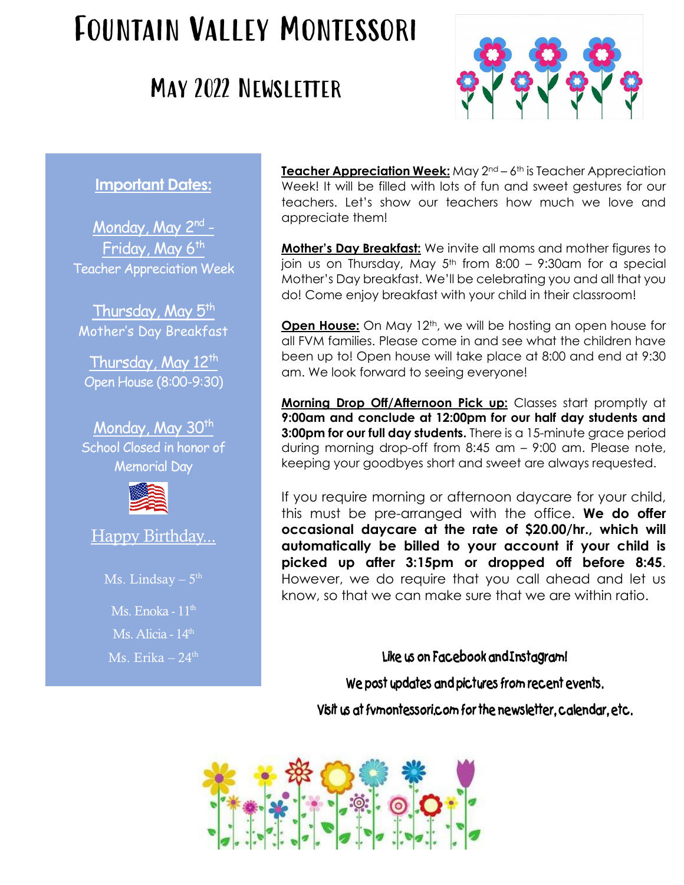# Fountain Valley Montessori

## May 2022 Newsletter



### **Important Dates:**

Monday, May 2<sup>nd</sup> -Friday, May 6<sup>th</sup> Teacher Appreciation Week

Thursday, May  $5<sup>th</sup>$ Mother's Day Breakfast

Thursday, May  $12<sup>th</sup>$ Open House (8:00-9:30)

Monday, May 30<sup>th</sup> School Closed in honor of Memorial Day



Happy Birthday...

Ms. Lindsay  $-5^{\text{th}}$ 

Ms. Enoka -  $11<sup>th</sup>$  $\overline{\text{Ms}}$ . Alicia - 14<sup>th</sup> Ms. Erika –  $24<sup>th</sup>$  **Teacher Appreciation Week:** May 2<sup>nd</sup> – 6<sup>th</sup> is Teacher Appreciation Week! It will be filled with lots of fun and sweet gestures for our teachers. Let's show our teachers how much we love and appreciate them!

**Mother's Day Breakfast:** We invite all moms and mother figures to join us on Thursday, May  $5<sup>th</sup>$  from 8:00 – 9:30am for a special Mother's Day breakfast. We'll be celebrating you and all that you do! Come enjoy breakfast with your child in their classroom!

**Open House:** On May 12<sup>th</sup>, we will be hosting an open house for all FVM families. Please come in and see what the children have been up to! Open house will take place at 8:00 and end at 9:30 am. We look forward to seeing everyone!

**Morning Drop Off/Afternoon Pick up:** Classes start promptly at **9:00am and conclude at 12:00pm for our half day students and 3:00pm for our full day students.** There is a 15-minute grace period during morning drop-off from 8:45 am – 9:00 am. Please note, keeping your goodbyes short and sweet are always requested.

If you require morning or afternoon daycare for your child, this must be pre-arranged with the office. **We do offer occasional daycare at the rate of \$20.00/hr., which will automatically be billed to your account if your child is picked up after 3:15pm or dropped off before 8:45**. However, we do require that you call ahead and let us know, so that we can make sure that we are within ratio.

#### **Like us on Facebook and Instagram!**

**We post updates and pictures from recent events.**

**Visit us at fvmontessori.com for the newsletter, calendar, etc.**

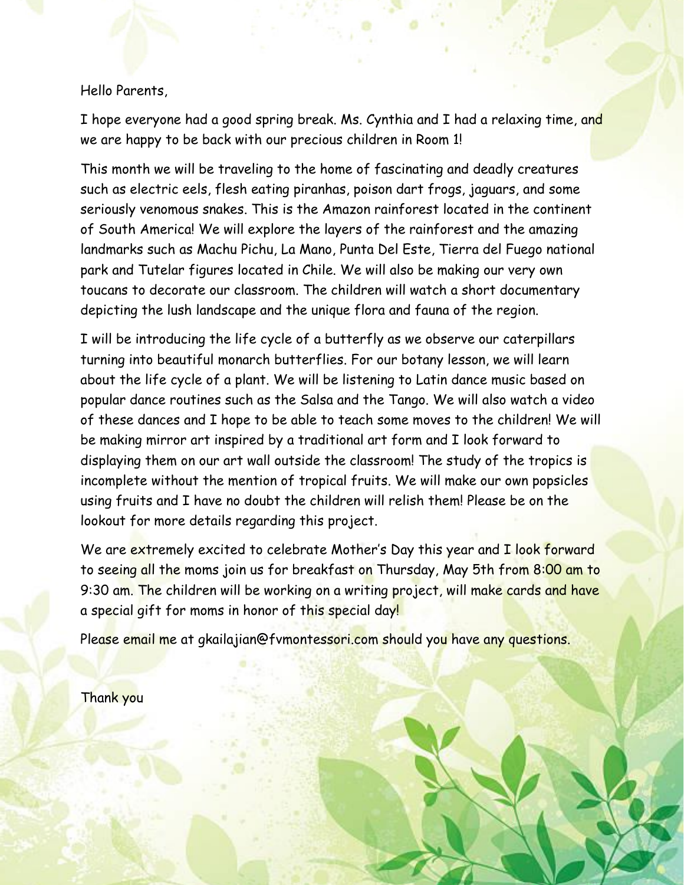I hope everyone had a good spring break. Ms. Cynthia and I had a relaxing time, and we are happy to be back with our precious children in Room 1!

This month we will be traveling to the home of fascinating and deadly creatures such as electric eels, flesh eating piranhas, poison dart frogs, jaguars, and some seriously venomous snakes. This is the Amazon rainforest located in the continent of South America! We will explore the layers of the rainforest and the amazing landmarks such as Machu Pichu, La Mano, Punta Del Este, Tierra del Fuego national park and Tutelar figures located in Chile. We will also be making our very own toucans to decorate our classroom. The children will watch a short documentary depicting the lush landscape and the unique flora and fauna of the region.

I will be introducing the life cycle of a butterfly as we observe our caterpillars turning into beautiful monarch butterflies. For our botany lesson, we will learn about the life cycle of a plant. We will be listening to Latin dance music based on popular dance routines such as the Salsa and the Tango. We will also watch a video of these dances and I hope to be able to teach some moves to the children! We will be making mirror art inspired by a traditional art form and I look forward to displaying them on our art wall outside the classroom! The study of the tropics is incomplete without the mention of tropical fruits. We will make our own popsicles using fruits and I have no doubt the children will relish them! Please be on the lookout for more details regarding this project.

We are extremely excited to celebrate Mother's Day this year and I look forward to seeing all the moms join us for breakfast on Thursday, May 5th from 8:00 am to 9:30 am. The children will be working on a writing project, will make cards and have a special gift for moms in honor of this special day!

Please email me at gkailajian@fvmontessori.com should you have any questions.

Thank you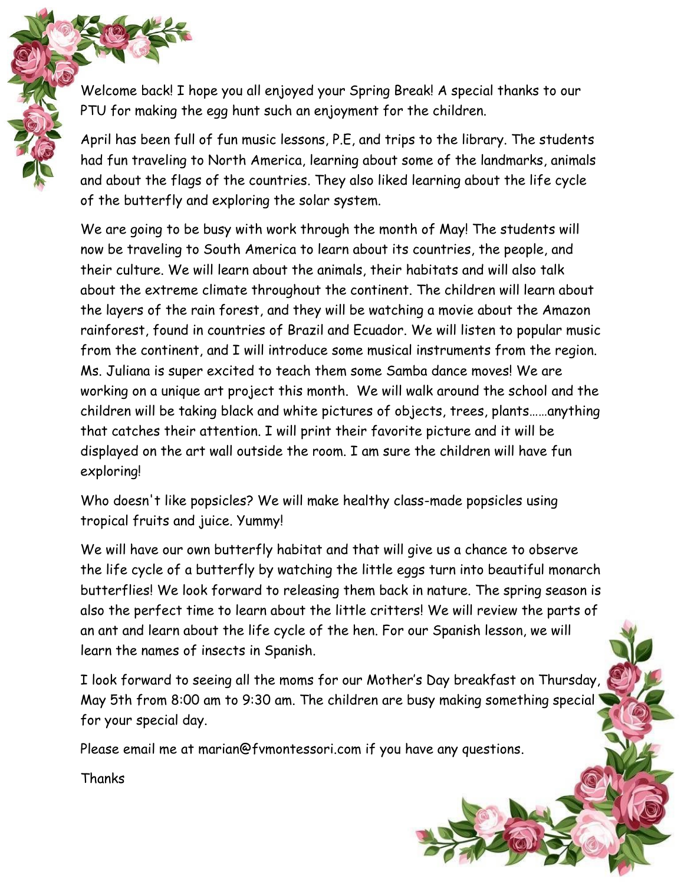Welcome back! I hope you all enjoyed your Spring Break! A special thanks to our PTU for making the egg hunt such an enjoyment for the children.

April has been full of fun music lessons, P.E, and trips to the library. The students had fun traveling to North America, learning about some of the landmarks, animals and about the flags of the countries. They also liked learning about the life cycle of the butterfly and exploring the solar system.

We are going to be busy with work through the month of May! The students will now be traveling to South America to learn about its countries, the people, and their culture. We will learn about the animals, their habitats and will also talk about the extreme climate throughout the continent. The children will learn about the layers of the rain forest, and they will be watching a movie about the Amazon rainforest, found in countries of Brazil and Ecuador. We will listen to popular music from the continent, and I will introduce some musical instruments from the region. Ms. Juliana is super excited to teach them some Samba dance moves! We are working on a unique art project this month. We will walk around the school and the children will be taking black and white pictures of objects, trees, plants……anything that catches their attention. I will print their favorite picture and it will be displayed on the art wall outside the room. I am sure the children will have fun exploring!

Who doesn't like popsicles? We will make healthy class-made popsicles using tropical fruits and juice. Yummy!

We will have our own butterfly habitat and that will give us a chance to observe the life cycle of a butterfly by watching the little eggs turn into beautiful monarch butterflies! We look forward to releasing them back in nature. The spring season is also the perfect time to learn about the little critters! We will review the parts of an ant and learn about the life cycle of the hen. For our Spanish lesson, we will learn the names of insects in Spanish.

I look forward to seeing all the moms for our Mother's Day breakfast on Thursday, May 5th from 8:00 am to 9:30 am. The children are busy making something special for your special day.

Please email me at marian@fvmontessori.com if you have any questions.

Thanks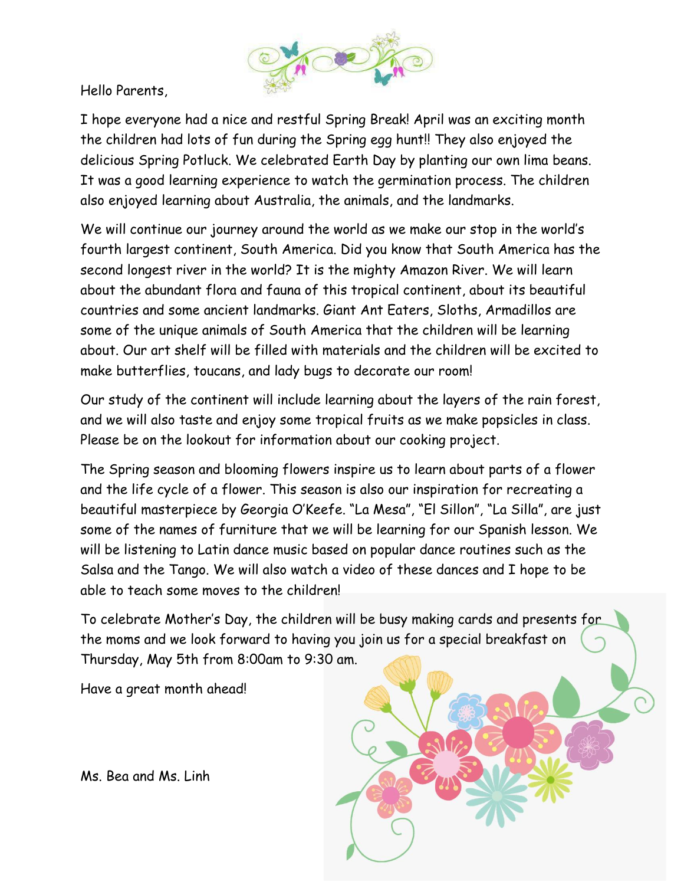

I hope everyone had a nice and restful Spring Break! April was an exciting month the children had lots of fun during the Spring egg hunt!! They also enjoyed the delicious Spring Potluck. We celebrated Earth Day by planting our own lima beans. It was a good learning experience to watch the germination process. The children also enjoyed learning about Australia, the animals, and the landmarks.

We will continue our journey around the world as we make our stop in the world's fourth largest continent, South America. Did you know that South America has the second longest river in the world? It is the mighty Amazon River. We will learn about the abundant flora and fauna of this tropical continent, about its beautiful countries and some ancient landmarks. Giant Ant Eaters, Sloths, Armadillos are some of the unique animals of South America that the children will be learning about. Our art shelf will be filled with materials and the children will be excited to make butterflies, toucans, and lady bugs to decorate our room!

Our study of the continent will include learning about the layers of the rain forest, and we will also taste and enjoy some tropical fruits as we make popsicles in class. Please be on the lookout for information about our cooking project.

The Spring season and blooming flowers inspire us to learn about parts of a flower and the life cycle of a flower. This season is also our inspiration for recreating a beautiful masterpiece by Georgia O'Keefe. "La Mesa", "El Sillon", "La Silla", are just some of the names of furniture that we will be learning for our Spanish lesson. We will be listening to Latin dance music based on popular dance routines such as the Salsa and the Tango. We will also watch a video of these dances and I hope to be able to teach some moves to the children!

To celebrate Mother's Day, the children will be busy making cards and presents for the moms and we look forward to having you join us for a special breakfast on Thursday, May 5th from 8:00am to 9:30 am.

Have a great month ahead!



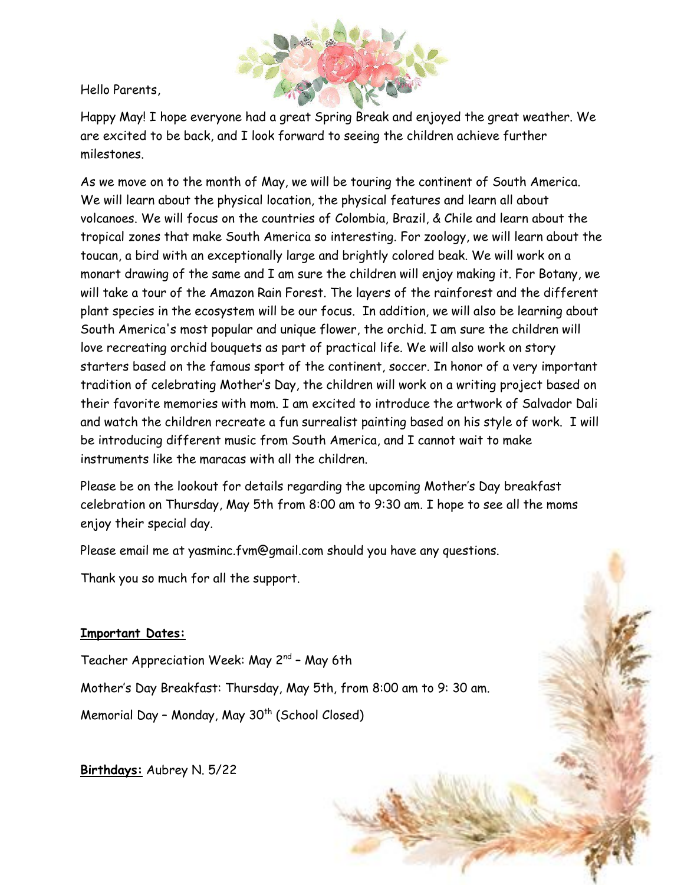

Happy May! I hope everyone had a great Spring Break and enjoyed the great weather. We are excited to be back, and I look forward to seeing the children achieve further milestones.

As we move on to the month of May, we will be touring the continent of South America. We will learn about the physical location, the physical features and learn all about volcanoes. We will focus on the countries of Colombia, Brazil, & Chile and learn about the tropical zones that make South America so interesting. For zoology, we will learn about the toucan, a bird with an exceptionally large and brightly colored beak. We will work on a monart drawing of the same and I am sure the children will enjoy making it. For Botany, we will take a tour of the Amazon Rain Forest. The layers of the rainforest and the different plant species in the ecosystem will be our focus. In addition, we will also be learning about South America's most popular and unique flower, the orchid. I am sure the children will love recreating orchid bouquets as part of practical life. We will also work on story starters based on the famous sport of the continent, soccer. In honor of a very important tradition of celebrating Mother's Day, the children will work on a writing project based on their favorite memories with mom. I am excited to introduce the artwork of Salvador Dali and watch the children recreate a fun surrealist painting based on his style of work. I will be introducing different music from South America, and I cannot wait to make instruments like the maracas with all the children.

Please be on the lookout for details regarding the upcoming Mother's Day breakfast celebration on Thursday, May 5th from 8:00 am to 9:30 am. I hope to see all the moms enjoy their special day.

Please email me at yasminc.fvm@gmail.com should you have any questions.

Thank you so much for all the support.

#### **Important Dates:**

Teacher Appreciation Week: May 2<sup>nd</sup> - May 6th Mother's Day Breakfast: Thursday, May 5th, from 8:00 am to 9: 30 am. Memorial Day - Monday, May 30<sup>th</sup> (School Closed)

**Birthdays:** Aubrey N. 5/22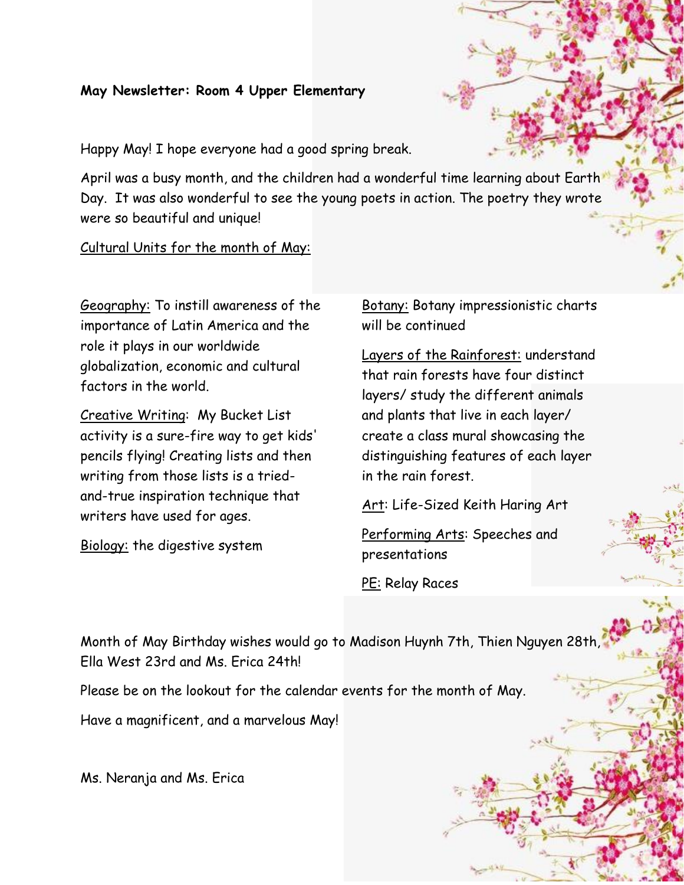#### **May Newsletter: Room 4 Upper Elementary**

Happy May! I hope everyone had a good spring break.

April was a busy month, and the children had a wonderful time learning about Earth Day. It was also wonderful to see the young poets in action. The poetry they wrote were so beautiful and unique!

Cultural Units for the month of May:

Geography: To instill awareness of the importance of Latin America and the role it plays in our worldwide globalization, economic and cultural factors in the world.

Creative Writing: My Bucket List activity is a sure-fire way to get kids' pencils flying! Creating lists and then writing from those lists is a triedand-true inspiration technique that writers have used for ages.

Biology: the digestive system

**Botany:** Botany impressionistic charts will be continued

Layers of the Rainforest: understand that rain forests have four distinct layers/ study the different animals and plants that live in each layer/ create a class mural showcasing the distinguishing features of each layer in the rain forest.

Art: Life-Sized Keith Haring Art

Performing Arts: Speeches and presentations

PE: Relay Races

Month of May Birthday wishes would go to Madison Huynh 7th, Thien Nguyen 28th, Ella West 23rd and Ms. Erica 24th!

Please be on the lookout for the calendar events for the month of May.

Have a magnificent, and a marvelous May!

Ms. Neranja and Ms. Erica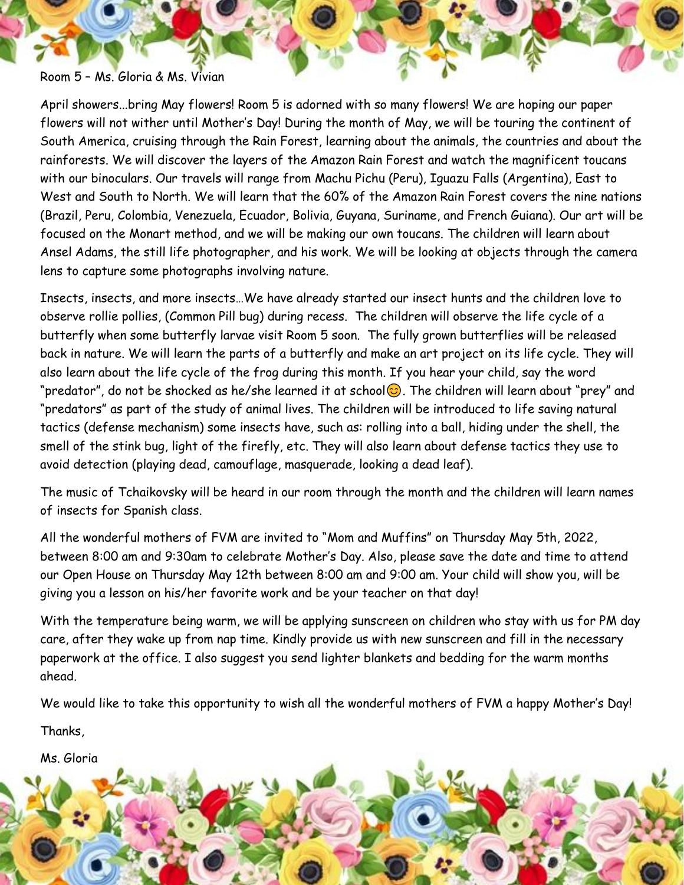Room 5 – Ms. Gloria & Ms. Vivian

April showers...bring May flowers! Room 5 is adorned with so many flowers! We are hoping our paper flowers will not wither until Mother's Day! During the month of May, we will be touring the continent of South America, cruising through the Rain Forest, learning about the animals, the countries and about the rainforests. We will discover the layers of the Amazon Rain Forest and watch the magnificent toucans with our binoculars. Our travels will range from Machu Pichu (Peru), Iguazu Falls (Argentina), East to West and South to North. We will learn that the 60% of the Amazon Rain Forest covers the nine nations (Brazil, Peru, Colombia, Venezuela, Ecuador, Bolivia, Guyana, Suriname, and French Guiana). Our art will be focused on the Monart method, and we will be making our own toucans. The children will learn about Ansel Adams, the still life photographer, and his work. We will be looking at objects through the camera lens to capture some photographs involving nature.

Insects, insects, and more insects…We have already started our insect hunts and the children love to observe rollie pollies, (Common Pill bug) during recess. The children will observe the life cycle of a butterfly when some butterfly larvae visit Room 5 soon. The fully grown butterflies will be released back in nature. We will learn the parts of a butterfly and make an art project on its life cycle. They will also learn about the life cycle of the frog during this month. If you hear your child, say the word "predator", do not be shocked as he/she learned it at school $\odot$ . The children will learn about "prey" and "predators" as part of the study of animal lives. The children will be introduced to life saving natural tactics (defense mechanism) some insects have, such as: rolling into a ball, hiding under the shell, the smell of the stink bug, light of the firefly, etc. They will also learn about defense tactics they use to avoid detection (playing dead, camouflage, masquerade, looking a dead leaf).

The music of Tchaikovsky will be heard in our room through the month and the children will learn names of insects for Spanish class.

All the wonderful mothers of FVM are invited to "Mom and Muffins" on Thursday May 5th, 2022, between 8:00 am and 9:30am to celebrate Mother's Day. Also, please save the date and time to attend our Open House on Thursday May 12th between 8:00 am and 9:00 am. Your child will show you, will be giving you a lesson on his/her favorite work and be your teacher on that day!

With the temperature being warm, we will be applying sunscreen on children who stay with us for PM day care, after they wake up from nap time. Kindly provide us with new sunscreen and fill in the necessary paperwork at the office. I also suggest you send lighter blankets and bedding for the warm months ahead.

We would like to take this opportunity to wish all the wonderful mothers of FVM a happy Mother's Day!

Thanks,

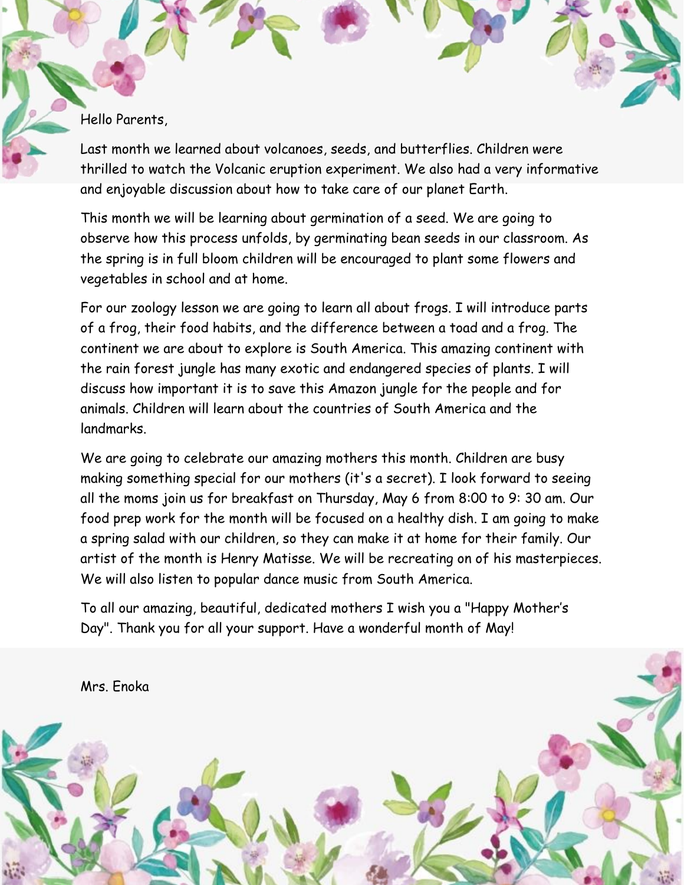Last month we learned about volcanoes, seeds, and butterflies. Children were thrilled to watch the Volcanic eruption experiment. We also had a very informative and enjoyable discussion about how to take care of our planet Earth.

This month we will be learning about germination of a seed. We are going to observe how this process unfolds, by germinating bean seeds in our classroom. As the spring is in full bloom children will be encouraged to plant some flowers and vegetables in school and at home.

For our zoology lesson we are going to learn all about frogs. I will introduce parts of a frog, their food habits, and the difference between a toad and a frog. The continent we are about to explore is South America. This amazing continent with the rain forest jungle has many exotic and endangered species of plants. I will discuss how important it is to save this Amazon jungle for the people and for animals. Children will learn about the countries of South America and the landmarks.

We are going to celebrate our amazing mothers this month. Children are busy making something special for our mothers (it's a secret). I look forward to seeing all the moms join us for breakfast on Thursday, May 6 from 8:00 to 9: 30 am. Our food prep work for the month will be focused on a healthy dish. I am going to make a spring salad with our children, so they can make it at home for their family. Our artist of the month is Henry Matisse. We will be recreating on of his masterpieces. We will also listen to popular dance music from South America.

To all our amazing, beautiful, dedicated mothers I wish you a "Happy Mother's Day". Thank you for all your support. Have a wonderful month of May!

Mrs. Enoka